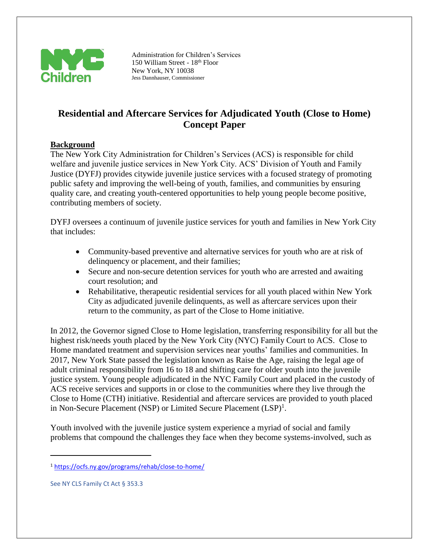

Administration for Children's Services 150 William Street - 18th Floor New York, NY 10038 Jess Dannhauser, Commissioner

# **Residential and Aftercare Services for Adjudicated Youth (Close to Home) Concept Paper**

## **Background**

The New York City Administration for Children's Services (ACS) is responsible for child welfare and juvenile justice services in New York City. ACS' Division of Youth and Family Justice (DYFJ) provides citywide juvenile justice services with a focused strategy of promoting public safety and improving the well-being of youth, families, and communities by ensuring quality care, and creating youth-centered opportunities to help young people become positive, contributing members of society.

DYFJ oversees a continuum of juvenile justice services for youth and families in New York City that includes:

- Community-based preventive and alternative services for youth who are at risk of delinquency or placement, and their families;
- Secure and non-secure detention services for youth who are arrested and awaiting court resolution; and
- Rehabilitative, therapeutic residential services for all youth placed within New York City as adjudicated juvenile delinquents, as well as aftercare services upon their return to the community, as part of the Close to Home initiative.

In 2012, the Governor signed Close to Home legislation, transferring responsibility for all but the highest risk/needs youth placed by the New York City (NYC) Family Court to ACS. Close to Home mandated treatment and supervision services near youths' families and communities. In 2017, New York State passed the legislation known as Raise the Age, raising the legal age of adult criminal responsibility from 16 to 18 and shifting care for older youth into the juvenile justice system. Young people adjudicated in the NYC Family Court and placed in the custody of ACS receive services and supports in or close to the communities where they live through the Close to Home (CTH) initiative. Residential and aftercare services are provided to youth placed in Non-Secure Placement (NSP) or Limited Secure Placement (LSP)<sup>1</sup>.

Youth involved with the juvenile justice system experience a myriad of social and family problems that compound the challenges they face when they become systems-involved, such as

<sup>1</sup> [https://ocfs.ny.gov/programs/rehab/close-to-home/](https://gcc02.safelinks.protection.outlook.com/?url=https%3A%2F%2Focfs.ny.gov%2Fprograms%2Frehab%2Fclose-to-home%2F&data=04%7C01%7CJohan.Peguero%40acs.nyc.gov%7Cf1ffc5730bfd48b6634808da1196b954%7C32f56fc75f814e22a95b15da66513bef%7C0%7C0%7C637841636290663995%7CUnknown%7CTWFpbGZsb3d8eyJWIjoiMC4wLjAwMDAiLCJQIjoiV2luMzIiLCJBTiI6Ik1haWwiLCJXVCI6Mn0%3D%7C3000&sdata=AemDtXFRIgtB5ILj%2Buo0EnfPM%2Fer1th5PvUgdOd1Cs0%3D&reserved=0)

See NY CLS Family Ct Act § 353.3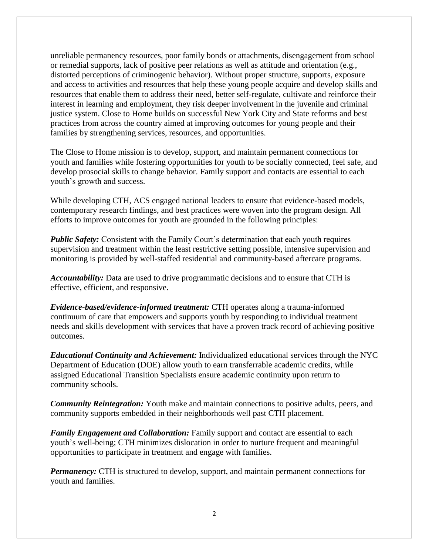unreliable permanency resources, poor family bonds or attachments, disengagement from school or remedial supports, lack of positive peer relations as well as attitude and orientation (e.g., distorted perceptions of criminogenic behavior). Without proper structure, supports, exposure and access to activities and resources that help these young people acquire and develop skills and resources that enable them to address their need, better self-regulate, cultivate and reinforce their interest in learning and employment, they risk deeper involvement in the juvenile and criminal justice system. Close to Home builds on successful New York City and State reforms and best practices from across the country aimed at improving outcomes for young people and their families by strengthening services, resources, and opportunities.

The Close to Home mission is to develop, support, and maintain permanent connections for youth and families while fostering opportunities for youth to be socially connected, feel safe, and develop prosocial skills to change behavior. Family support and contacts are essential to each youth's growth and success.

While developing CTH, ACS engaged national leaders to ensure that evidence-based models, contemporary research findings, and best practices were woven into the program design. All efforts to improve outcomes for youth are grounded in the following principles:

*Public Safety:* Consistent with the Family Court's determination that each youth requires supervision and treatment within the least restrictive setting possible, intensive supervision and monitoring is provided by well-staffed residential and community-based aftercare programs.

*Accountability:* Data are used to drive programmatic decisions and to ensure that CTH is effective, efficient, and responsive.

*Evidence-based/evidence-informed treatment:* CTH operates along a trauma-informed continuum of care that empowers and supports youth by responding to individual treatment needs and skills development with services that have a proven track record of achieving positive outcomes.

*Educational Continuity and Achievement:* Individualized educational services through the NYC Department of Education (DOE) allow youth to earn transferrable academic credits, while assigned Educational Transition Specialists ensure academic continuity upon return to community schools.

*Community Reintegration:* Youth make and maintain connections to positive adults, peers, and community supports embedded in their neighborhoods well past CTH placement.

*Family Engagement and Collaboration:* Family support and contact are essential to each youth's well-being; CTH minimizes dislocation in order to nurture frequent and meaningful opportunities to participate in treatment and engage with families.

*Permanency:* CTH is structured to develop, support, and maintain permanent connections for youth and families.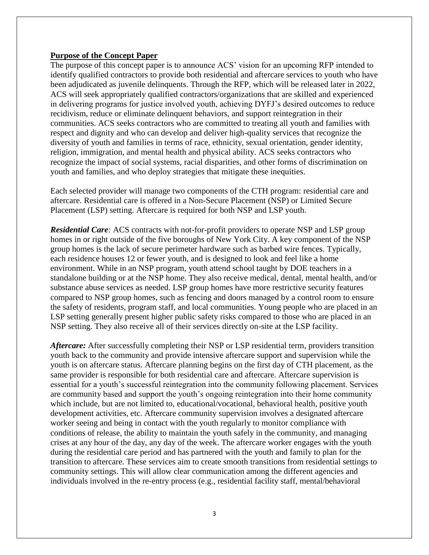#### **Purpose of the Concept Paper**

The purpose of this concept paper is to announce ACS' vision for an upcoming RFP intended to identify qualified contractors to provide both residential and aftercare services to youth who have been adjudicated as juvenile delinquents. Through the RFP, which will be released later in 2022, ACS will seek appropriately qualified contractors/organizations that are skilled and experienced in delivering programs for justice involved youth, achieving DYFJ's desired outcomes to reduce recidivism, reduce or eliminate delinquent behaviors, and support reintegration in their communities. ACS seeks contractors who are committed to treating all youth and families with respect and dignity and who can develop and deliver high-quality services that recognize the diversity of youth and families in terms of race, ethnicity, sexual orientation, gender identity, religion, immigration, and mental health and physical ability. ACS seeks contractors who recognize the impact of social systems, racial disparities, and other forms of discrimination on youth and families, and who deploy strategies that mitigate these inequities.

Each selected provider will manage two components of the CTH program: residential care and aftercare. Residential care is offered in a Non-Secure Placement (NSP) or Limited Secure Placement (LSP) setting. Aftercare is required for both NSP and LSP youth.

*Residential Care:* ACS contracts with not-for-profit providers to operate NSP and LSP group homes in or right outside of the five boroughs of New York City. A key component of the NSP group homes is the lack of secure perimeter hardware such as barbed wire fences. Typically, each residence houses 12 or fewer youth, and is designed to look and feel like a home environment. While in an NSP program, youth attend school taught by DOE teachers in a standalone building or at the NSP home. They also receive medical, dental, mental health, and/or substance abuse services as needed. LSP group homes have more restrictive security features compared to NSP group homes, such as fencing and doors managed by a control room to ensure the safety of residents, program staff, and local communities. Young people who are placed in an LSP setting generally present higher public safety risks compared to those who are placed in an NSP setting. They also receive all of their services directly on-site at the LSP facility.

*Aftercare:* After successfully completing their NSP or LSP residential term, providers transition youth back to the community and provide intensive aftercare support and supervision while the youth is on aftercare status. Aftercare planning begins on the first day of CTH placement, as the same provider is responsible for both residential care and aftercare. Aftercare supervision is essential for a youth's successful reintegration into the community following placement. Services are community based and support the youth's ongoing reintegration into their home community which include, but are not limited to, educational/vocational, behavioral health, positive youth development activities, etc. Aftercare community supervision involves a designated aftercare worker seeing and being in contact with the youth regularly to monitor compliance with conditions of release, the ability to maintain the youth safely in the community, and managing crises at any hour of the day, any day of the week. The aftercare worker engages with the youth during the residential care period and has partnered with the youth and family to plan for the transition to aftercare. These services aim to create smooth transitions from residential settings to community settings. This will allow clear communication among the different agencies and individuals involved in the re-entry process (e.g., residential facility staff, mental/behavioral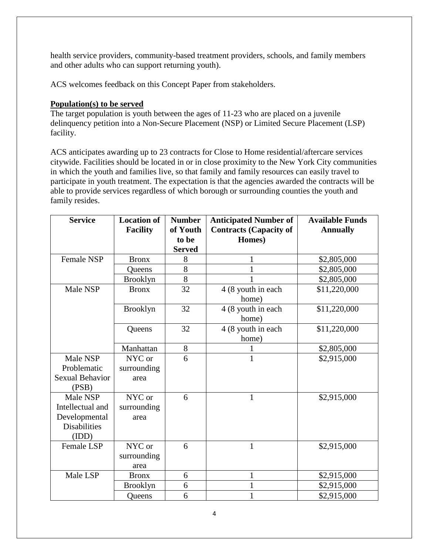health service providers, community-based treatment providers, schools, and family members and other adults who can support returning youth).

ACS welcomes feedback on this Concept Paper from stakeholders.

### **Population(s) to be served**

The target population is youth between the ages of 11-23 who are placed on a juvenile delinquency petition into a Non-Secure Placement (NSP) or Limited Secure Placement (LSP) facility.

ACS anticipates awarding up to 23 contracts for Close to Home residential/aftercare services citywide. Facilities should be located in or in close proximity to the New York City communities in which the youth and families live, so that family and family resources can easily travel to participate in youth treatment. The expectation is that the agencies awarded the contracts will be able to provide services regardless of which borough or surrounding counties the youth and family resides.

| <b>Service</b>         | <b>Location of</b><br><b>Facility</b> | <b>Number</b><br>of Youth | <b>Anticipated Number of</b><br><b>Contracts (Capacity of</b> | <b>Available Funds</b><br><b>Annually</b> |
|------------------------|---------------------------------------|---------------------------|---------------------------------------------------------------|-------------------------------------------|
|                        |                                       | to be                     | Homes)                                                        |                                           |
|                        |                                       | <b>Served</b>             |                                                               |                                           |
| Female NSP             | <b>Bronx</b>                          | 8                         | 1                                                             | \$2,805,000                               |
|                        | Queens                                | 8                         |                                                               | \$2,805,000                               |
|                        | <b>Brooklyn</b>                       | 8                         | 1                                                             | \$2,805,000                               |
| Male NSP               | <b>Bronx</b>                          | 32                        | 4 (8 youth in each                                            | \$11,220,000                              |
|                        |                                       |                           | home)                                                         |                                           |
|                        | <b>Brooklyn</b>                       | 32                        | 4 (8 youth in each                                            | \$11,220,000                              |
|                        |                                       |                           | home)                                                         |                                           |
|                        | Queens                                | 32                        | 4 (8 youth in each                                            | \$11,220,000                              |
|                        |                                       |                           | home)                                                         |                                           |
|                        | Manhattan                             | 8                         |                                                               | \$2,805,000                               |
| Male NSP               | NYC or                                | 6                         | 1                                                             | \$2,915,000                               |
| Problematic            | surrounding                           |                           |                                                               |                                           |
| <b>Sexual Behavior</b> | area                                  |                           |                                                               |                                           |
| (PSB)                  |                                       |                           |                                                               |                                           |
| Male NSP               | NYC or                                | 6                         | $\mathbf{1}$                                                  | \$2,915,000                               |
| Intellectual and       | surrounding                           |                           |                                                               |                                           |
| Developmental          | area                                  |                           |                                                               |                                           |
| <b>Disabilities</b>    |                                       |                           |                                                               |                                           |
| (IDD)                  |                                       |                           |                                                               |                                           |
| <b>Female LSP</b>      | NYC or                                | 6                         | $\mathbf{1}$                                                  | \$2,915,000                               |
|                        | surrounding                           |                           |                                                               |                                           |
|                        | area                                  |                           |                                                               |                                           |
| Male LSP               | <b>Bronx</b>                          | 6                         | $\mathbf{1}$                                                  | \$2,915,000                               |
|                        | <b>Brooklyn</b>                       | 6                         | 1                                                             | \$2,915,000                               |
|                        | Queens                                | 6                         | $\mathbf{1}$                                                  | \$2,915,000                               |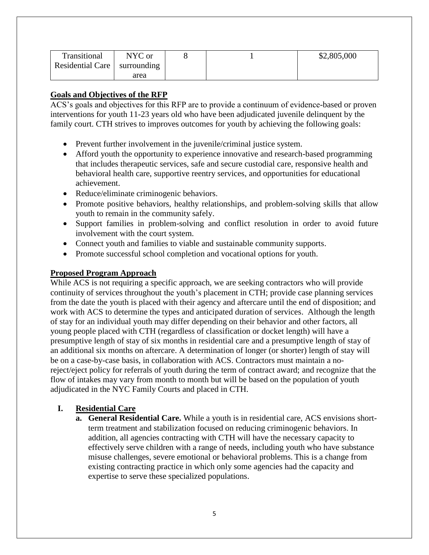| Transitional                     | NYC or |  | \$2,805,000 |
|----------------------------------|--------|--|-------------|
| Residential Care   surrounding ' |        |  |             |
|                                  | area   |  |             |

# **Goals and Objectives of the RFP**

ACS's goals and objectives for this RFP are to provide a continuum of evidence-based or proven interventions for youth 11-23 years old who have been adjudicated juvenile delinquent by the family court. CTH strives to improves outcomes for youth by achieving the following goals:

- Prevent further involvement in the juvenile/criminal justice system.
- Afford youth the opportunity to experience innovative and research-based programming that includes therapeutic services, safe and secure custodial care, responsive health and behavioral health care, supportive reentry services, and opportunities for educational achievement.
- Reduce/eliminate criminogenic behaviors.
- Promote positive behaviors, healthy relationships, and problem-solving skills that allow youth to remain in the community safely.
- Support families in problem-solving and conflict resolution in order to avoid future involvement with the court system.
- Connect youth and families to viable and sustainable community supports.
- Promote successful school completion and vocational options for youth.

## **Proposed Program Approach**

While ACS is not requiring a specific approach, we are seeking contractors who will provide continuity of services throughout the youth's placement in CTH; provide case planning services from the date the youth is placed with their agency and aftercare until the end of disposition; and work with ACS to determine the types and anticipated duration of services. Although the length of stay for an individual youth may differ depending on their behavior and other factors, all young people placed with CTH (regardless of classification or docket length) will have a presumptive length of stay of six months in residential care and a presumptive length of stay of an additional six months on aftercare. A determination of longer (or shorter) length of stay will be on a case-by-case basis, in collaboration with ACS. Contractors must maintain a noreject/eject policy for referrals of youth during the term of contract award; and recognize that the flow of intakes may vary from month to month but will be based on the population of youth adjudicated in the NYC Family Courts and placed in CTH.

## **I. Residential Care**

**a. General Residential Care.** While a youth is in residential care, ACS envisions shortterm treatment and stabilization focused on reducing criminogenic behaviors. In addition, all agencies contracting with CTH will have the necessary capacity to effectively serve children with a range of needs, including youth who have substance misuse challenges, severe emotional or behavioral problems. This is a change from existing contracting practice in which only some agencies had the capacity and expertise to serve these specialized populations.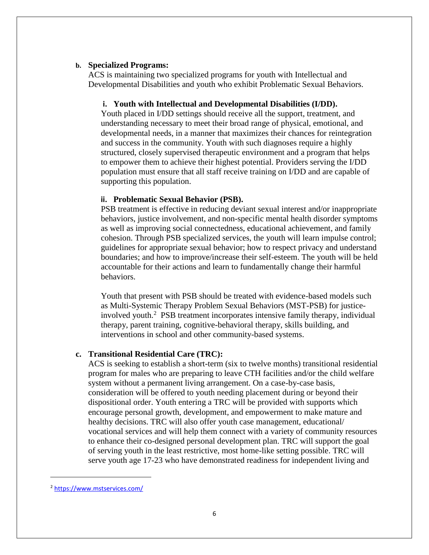#### **b. Specialized Programs:**

ACS is maintaining two specialized programs for youth with Intellectual and Developmental Disabilities and youth who exhibit Problematic Sexual Behaviors.

#### **i. Youth with Intellectual and Developmental Disabilities (I/DD).**

Youth placed in I/DD settings should receive all the support, treatment, and understanding necessary to meet their broad range of physical, emotional, and developmental needs, in a manner that maximizes their chances for reintegration and success in the community. Youth with such diagnoses require a highly structured, closely supervised therapeutic environment and a program that helps to empower them to achieve their highest potential. Providers serving the I/DD population must ensure that all staff receive training on I/DD and are capable of supporting this population.

#### **ii. Problematic Sexual Behavior (PSB).**

PSB treatment is effective in reducing deviant sexual interest and/or inappropriate behaviors, justice involvement, and non-specific mental health disorder symptoms as well as improving social connectedness, educational achievement, and family cohesion. Through PSB specialized services, the youth will learn impulse control; guidelines for appropriate sexual behavior; how to respect privacy and understand boundaries; and how to improve/increase their self-esteem. The youth will be held accountable for their actions and learn to fundamentally change their harmful behaviors.

Youth that present with PSB should be treated with evidence-based models such as Multi-Systemic Therapy Problem Sexual Behaviors (MST-PSB) for justiceinvolved youth.<sup>2</sup> PSB treatment incorporates intensive family therapy, individual therapy, parent training, cognitive-behavioral therapy, skills building, and interventions in school and other community-based systems.

#### **c. Transitional Residential Care (TRC):**

ACS is seeking to establish a short-term (six to twelve months) transitional residential program for males who are preparing to leave CTH facilities and/or the child welfare system without a permanent living arrangement. On a case-by-case basis, consideration will be offered to youth needing placement during or beyond their dispositional order. Youth entering a TRC will be provided with supports which encourage personal growth, development, and empowerment to make mature and healthy decisions. TRC will also offer youth case management, educational/ vocational services and will help them connect with a variety of community resources to enhance their co-designed personal development plan. TRC will support the goal of serving youth in the least restrictive, most home-like setting possible. TRC will serve youth age 17-23 who have demonstrated readiness for independent living and

<sup>2</sup> <https://www.mstservices.com/>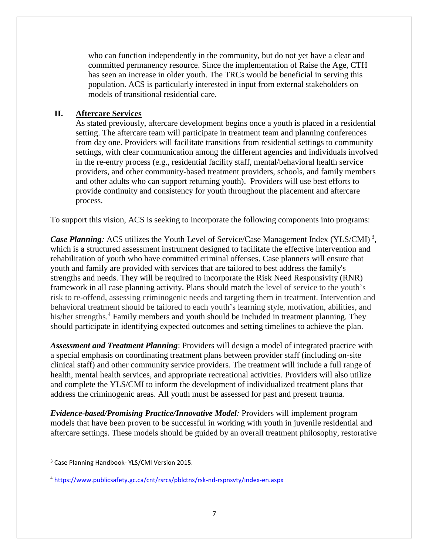who can function independently in the community, but do not yet have a clear and committed permanency resource. Since the implementation of Raise the Age, CTH has seen an increase in older youth. The TRCs would be beneficial in serving this population. ACS is particularly interested in input from external stakeholders on models of transitional residential care.

### **II. Aftercare Services**

As stated previously, aftercare development begins once a youth is placed in a residential setting. The aftercare team will participate in treatment team and planning conferences from day one. Providers will facilitate transitions from residential settings to community settings, with clear communication among the different agencies and individuals involved in the re-entry process (e.g., residential facility staff, mental/behavioral health service providers, and other community-based treatment providers, schools, and family members and other adults who can support returning youth). Providers will use best efforts to provide continuity and consistency for youth throughout the placement and aftercare process.

To support this vision, ACS is seeking to incorporate the following components into programs:

Case Planning: ACS utilizes the Youth Level of Service/Case Management Index (YLS/CMI)<sup>3</sup>, which is a structured assessment instrument designed to facilitate the effective intervention and rehabilitation of youth who have committed criminal offenses. Case planners will ensure that youth and family are provided with services that are tailored to best address the family's strengths and needs. They will be required to incorporate the Risk Need Responsivity (RNR) framework in all case planning activity. Plans should match the level of service to the youth's risk to re-offend, assessing criminogenic needs and targeting them in treatment. Intervention and behavioral treatment should be tailored to each youth's learning style, motivation, abilities, and his/her strengths.<sup>4</sup> Family members and youth should be included in treatment planning. They should participate in identifying expected outcomes and setting timelines to achieve the plan.

*Assessment and Treatment Planning*: Providers will design a model of integrated practice with a special emphasis on coordinating treatment plans between provider staff (including on-site clinical staff) and other community service providers. The treatment will include a full range of health, mental health services, and appropriate recreational activities. Providers will also utilize and complete the YLS/CMI to inform the development of individualized treatment plans that address the criminogenic areas. All youth must be assessed for past and present trauma.

*Evidence-based/Promising Practice/Innovative Model:* Providers will implement program models that have been proven to be successful in working with youth in juvenile residential and aftercare settings. These models should be guided by an overall treatment philosophy, restorative

<sup>3</sup> Case Planning Handbook- YLS/CMI Version 2015.

<sup>4</sup> <https://www.publicsafety.gc.ca/cnt/rsrcs/pblctns/rsk-nd-rspnsvty/index-en.aspx>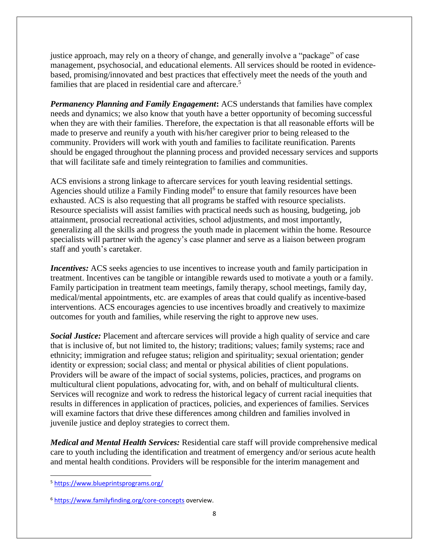justice approach, may rely on a theory of change, and generally involve a "package" of case management, psychosocial, and educational elements. All services should be rooted in evidencebased, promising/innovated and best practices that effectively meet the needs of the youth and families that are placed in residential care and aftercare.<sup>5</sup>

*Permanency Planning and Family Engagement***:** ACS understands that families have complex needs and dynamics; we also know that youth have a better opportunity of becoming successful when they are with their families. Therefore, the expectation is that all reasonable efforts will be made to preserve and reunify a youth with his/her caregiver prior to being released to the community. Providers will work with youth and families to facilitate reunification. Parents should be engaged throughout the planning process and provided necessary services and supports that will facilitate safe and timely reintegration to families and communities.

ACS envisions a strong linkage to aftercare services for youth leaving residential settings. Agencies should utilize a Family Finding model<sup>6</sup> to ensure that family resources have been exhausted. ACS is also requesting that all programs be staffed with resource specialists. Resource specialists will assist families with practical needs such as housing, budgeting, job attainment, prosocial recreational activities, school adjustments, and most importantly, generalizing all the skills and progress the youth made in placement within the home. Resource specialists will partner with the agency's case planner and serve as a liaison between program staff and youth's caretaker.

*Incentives:* ACS seeks agencies to use incentives to increase youth and family participation in treatment. Incentives can be tangible or intangible rewards used to motivate a youth or a family. Family participation in treatment team meetings, family therapy, school meetings, family day, medical/mental appointments, etc. are examples of areas that could qualify as incentive-based interventions. ACS encourages agencies to use incentives broadly and creatively to maximize outcomes for youth and families, while reserving the right to approve new uses.

*Social Justice:* Placement and aftercare services will provide a high quality of service and care that is inclusive of, but not limited to, the history; traditions; values; family systems; race and ethnicity; immigration and refugee status; religion and spirituality; sexual orientation; gender identity or expression; social class; and mental or physical abilities of client populations. Providers will be aware of the impact of social systems, policies, practices, and programs on multicultural client populations, advocating for, with, and on behalf of multicultural clients. Services will recognize and work to redress the historical legacy of current racial inequities that results in differences in application of practices, policies, and experiences of families. Services will examine factors that drive these differences among children and families involved in juvenile justice and deploy strategies to correct them.

*Medical and Mental Health Services:* Residential care staff will provide comprehensive medical care to youth including the identification and treatment of emergency and/or serious acute health and mental health conditions. Providers will be responsible for the interim management and

 $\overline{a}$ <sup>5</sup> <https://www.blueprintsprograms.org/>

<sup>6</sup> <https://www.familyfinding.org/core-concepts> overview.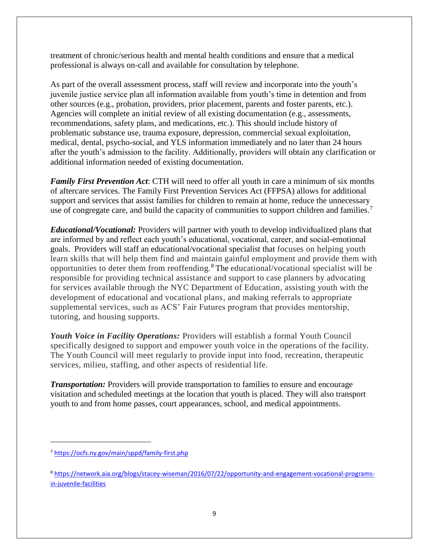treatment of chronic/serious health and mental health conditions and ensure that a medical professional is always on-call and available for consultation by telephone.

As part of the overall assessment process, staff will review and incorporate into the youth's juvenile justice service plan all information available from youth's time in detention and from other sources (e.g., probation, providers, prior placement, parents and foster parents, etc.). Agencies will complete an initial review of all existing documentation (e.g., assessments, recommendations, safety plans, and medications, etc.). This should include history of problematic substance use, trauma exposure, depression, commercial sexual exploitation, medical, dental, psycho-social, and YLS information immediately and no later than 24 hours after the youth's admission to the facility. Additionally, providers will obtain any clarification or additional information needed of existing documentation.

*Family First Prevention Act*: CTH will need to offer all youth in care a minimum of six months of aftercare services. The Family First Prevention Services Act (FFPSA) allows for additional support and services that assist families for children to remain at home, reduce the unnecessary use of congregate care, and build the capacity of communities to support children and families.<sup>7</sup>

*Educational/Vocational:* Providers will partner with youth to develop individualized plans that are informed by and reflect each youth's educational, vocational, career, and social-emotional goals. Providers will staff an educational/vocational specialist that focuses on helping youth learn skills that will help them find and maintain gainful employment and provide them with opportunities to deter them from reoffending.<sup>8</sup> The educational/vocational specialist will be responsible for providing technical assistance and support to case planners by advocating for services available through the NYC Department of Education, assisting youth with the development of educational and vocational plans, and making referrals to appropriate supplemental services, such as ACS' Fair Futures program that provides mentorship, tutoring, and housing supports.

*Youth Voice in Facility Operations:* Providers will establish a formal Youth Council specifically designed to support and empower youth voice in the operations of the facility. The Youth Council will meet regularly to provide input into food, recreation, therapeutic services, milieu, staffing, and other aspects of residential life.

*Transportation:* Providers will provide transportation to families to ensure and encourage visitation and scheduled meetings at the location that youth is placed. They will also transport youth to and from home passes, court appearances, school, and medical appointments.

<sup>7</sup> <https://ocfs.ny.gov/main/sppd/family-first.php>

<sup>8</sup> [https://network.aia.org/blogs/stacey-wiseman/2016/07/22/opportunity-and-engagement-vocational-programs](https://gcc02.safelinks.protection.outlook.com/?url=https%3A%2F%2Fnetwork.aia.org%2Fblogs%2Fstacey-wiseman%2F2016%2F07%2F22%2Fopportunity-and-engagement-vocational-programs-in-juvenile-facilities&data=04%7C01%7CClaudette.Thompson%40acs.nyc.gov%7C8290320a912c40b1e8e108d988de44f0%7C32f56fc75f814e22a95b15da66513bef%7C0%7C0%7C637691310477544989%7CUnknown%7CTWFpbGZsb3d8eyJWIjoiMC4wLjAwMDAiLCJQIjoiV2luMzIiLCJBTiI6Ik1haWwiLCJXVCI6Mn0%3D%7C1000&sdata=LAAaFI%2B2aWGqgsd%2Boxv8LDeQ62mWZW2XRbq%2BPrVb9Es%3D&reserved=0)[in-juvenile-facilities](https://gcc02.safelinks.protection.outlook.com/?url=https%3A%2F%2Fnetwork.aia.org%2Fblogs%2Fstacey-wiseman%2F2016%2F07%2F22%2Fopportunity-and-engagement-vocational-programs-in-juvenile-facilities&data=04%7C01%7CClaudette.Thompson%40acs.nyc.gov%7C8290320a912c40b1e8e108d988de44f0%7C32f56fc75f814e22a95b15da66513bef%7C0%7C0%7C637691310477544989%7CUnknown%7CTWFpbGZsb3d8eyJWIjoiMC4wLjAwMDAiLCJQIjoiV2luMzIiLCJBTiI6Ik1haWwiLCJXVCI6Mn0%3D%7C1000&sdata=LAAaFI%2B2aWGqgsd%2Boxv8LDeQ62mWZW2XRbq%2BPrVb9Es%3D&reserved=0)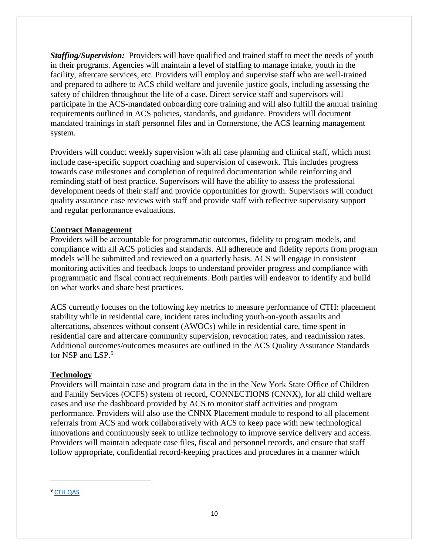*Staffing/Supervision:* Providers will have qualified and trained staff to meet the needs of youth in their programs. Agencies will maintain a level of staffing to manage intake, youth in the facility, aftercare services, etc. Providers will employ and supervise staff who are well-trained and prepared to adhere to ACS child welfare and juvenile justice goals, including assessing the safety of children throughout the life of a case. Direct service staff and supervisors will participate in the ACS-mandated onboarding core training and will also fulfill the annual training requirements outlined in ACS policies, standards, and guidance. Providers will document mandated trainings in staff personnel files and in Cornerstone, the ACS learning management system.

Providers will conduct weekly supervision with all case planning and clinical staff, which must include case-specific support coaching and supervision of casework. This includes progress towards case milestones and completion of required documentation while reinforcing and reminding staff of best practice. Supervisors will have the ability to assess the professional development needs of their staff and provide opportunities for growth. Supervisors will conduct quality assurance case reviews with staff and provide staff with reflective supervisory support and regular performance evaluations.

#### **Contract Management**

Providers will be accountable for programmatic outcomes, fidelity to program models, and compliance with all ACS policies and standards. All adherence and fidelity reports from program models will be submitted and reviewed on a quarterly basis. ACS will engage in consistent monitoring activities and feedback loops to understand provider progress and compliance with programmatic and fiscal contract requirements. Both parties will endeavor to identify and build on what works and share best practices.

ACS currently focuses on the following key metrics to measure performance of CTH: placement stability while in residential care, incident rates including youth-on-youth assaults and altercations, absences without consent (AWOCs) while in residential care, time spent in residential care and aftercare community supervision, revocation rates, and readmission rates. Additional outcomes/outcomes measures are outlined in the ACS Quality Assurance Standards for NSP and LSP.<sup>9</sup>

#### **Technology**

Providers will maintain case and program data in the in the New York State Office of Children and Family Services (OCFS) system of record, CONNECTIONS (CNNX), for all child welfare cases and use the dashboard provided by ACS to monitor staff activities and program performance. Providers will also use the CNNX Placement module to respond to all placement referrals from ACS and work collaboratively with ACS to keep pace with new technological innovations and continuously seek to utilize technology to improve service delivery and access. Providers will maintain adequate case files, fiscal and personnel records, and ensure that staff follow appropriate, confidential record-keeping practices and procedures in a manner which

<sup>9</sup> [CTH QAS](https://gcc02.safelinks.protection.outlook.com/ap/w-59584e83/?url=https%3A%2F%2Fnyco365-my.sharepoint.com%2F%3Aw%3A%2Fg%2Fpersonal%2Fismelda_rosario_acs_nyc_gov%2FEXxzAF4ph5NKqwkFFrd8GLsByzkfUE0osCGKsTFskBpldw%3Fe%3DLrAwA8&data=04%7C01%7CClaudette.Thompson%40acs.nyc.gov%7Cab256fb9759c4095406508d9bfea5bb5%7C32f56fc75f814e22a95b15da66513bef%7C0%7C0%7C637751835535320669%7CUnknown%7CTWFpbGZsb3d8eyJWIjoiMC4wLjAwMDAiLCJQIjoiV2luMzIiLCJBTiI6Ik1haWwiLCJXVCI6Mn0%3D%7C3000&sdata=%2BoYrFD7kfeDU9VAcL2FypZLr6Srma0LOqQ5cXKAy31k%3D&reserved=0)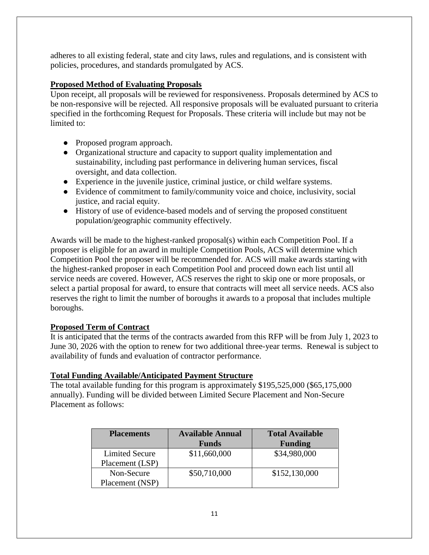adheres to all existing federal, state and city laws, rules and regulations, and is consistent with policies, procedures, and standards promulgated by ACS.

# **Proposed Method of Evaluating Proposals**

Upon receipt, all proposals will be reviewed for responsiveness. Proposals determined by ACS to be non-responsive will be rejected. All responsive proposals will be evaluated pursuant to criteria specified in the forthcoming Request for Proposals. These criteria will include but may not be limited to:

- Proposed program approach.
- Organizational structure and capacity to support quality implementation and sustainability, including past performance in delivering human services, fiscal oversight, and data collection.
- Experience in the juvenile justice, criminal justice, or child welfare systems.
- Evidence of commitment to family/community voice and choice, inclusivity, social justice, and racial equity.
- History of use of evidence-based models and of serving the proposed constituent population/geographic community effectively.

Awards will be made to the highest-ranked proposal(s) within each Competition Pool. If a proposer is eligible for an award in multiple Competition Pools, ACS will determine which Competition Pool the proposer will be recommended for. ACS will make awards starting with the highest-ranked proposer in each Competition Pool and proceed down each list until all service needs are covered. However, ACS reserves the right to skip one or more proposals, or select a partial proposal for award, to ensure that contracts will meet all service needs. ACS also reserves the right to limit the number of boroughs it awards to a proposal that includes multiple boroughs.

# **Proposed Term of Contract**

It is anticipated that the terms of the contracts awarded from this RFP will be from July 1, 2023 to June 30, 2026 with the option to renew for two additional three-year terms. Renewal is subject to availability of funds and evaluation of contractor performance.

## **Total Funding Available/Anticipated Payment Structure**

The total available funding for this program is approximately \$195,525,000 (\$65,175,000 annually). Funding will be divided between Limited Secure Placement and Non-Secure Placement as follows:

| <b>Placements</b>     | <b>Available Annual</b> | <b>Total Available</b> |
|-----------------------|-------------------------|------------------------|
|                       | <b>Funds</b>            | <b>Funding</b>         |
| <b>Limited Secure</b> | \$11,660,000            | \$34,980,000           |
| Placement (LSP)       |                         |                        |
| Non-Secure            | \$50,710,000            | \$152,130,000          |
| Placement (NSP)       |                         |                        |